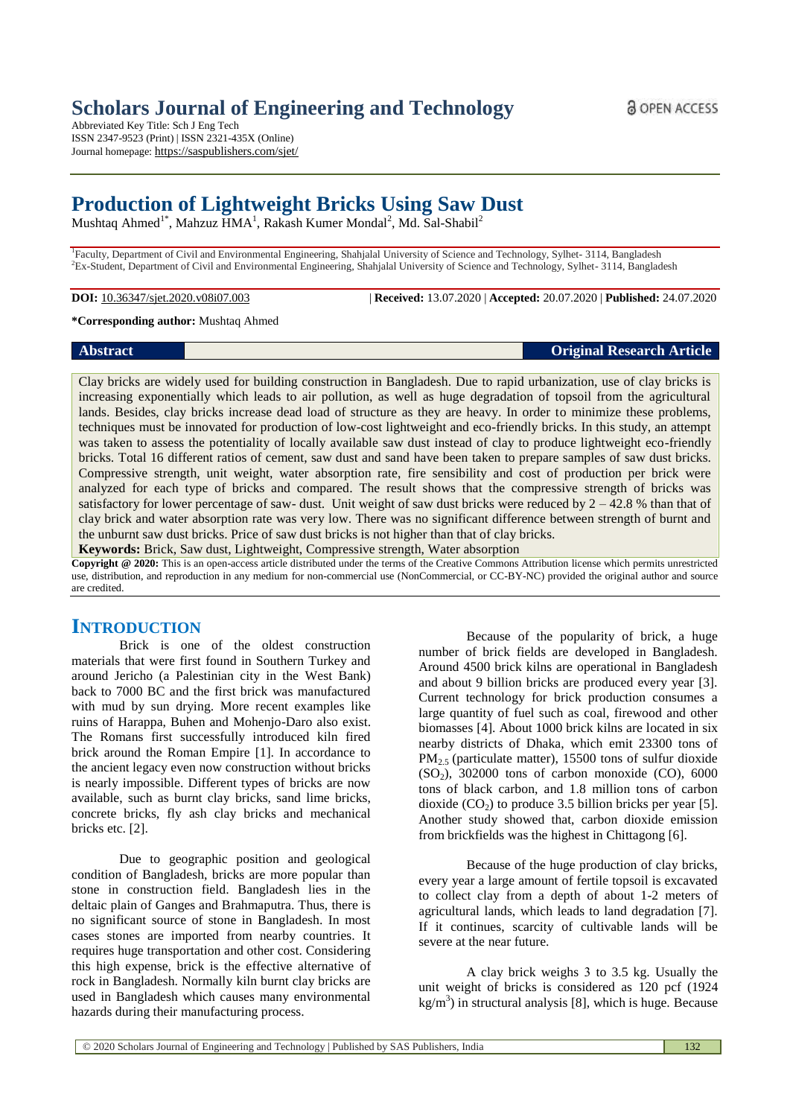Abbreviated Key Title: Sch J Eng Tech ISSN 2347-9523 (Print) | ISSN 2321-435X (Online) Journal homepage: https://saspublishers.com/sjet/

# **Production of Lightweight Bricks Using Saw Dust**

Mushtaq Ahmed<sup>1\*</sup>, Mahzuz HMA<sup>1</sup>, Rakash Kumer Mondal<sup>2</sup>, Md. Sal-Shabil<sup>2</sup>

<sup>1</sup>Faculty, Department of Civil and Environmental Engineering, Shahjalal University of Science and Technology, Sylhet- 3114, Bangladesh <sup>2</sup>Ex-Student, Department of Civil and Environmental Engineering, Shahjalal University of Science and Technology, Sylhet- 3114, Bangladesh

**DOI:** 10.36347/sjet.2020.v08i07.003 | **Received:** 13.07.2020 | **Accepted:** 20.07.2020 | **Published:** 24.07.2020

#### **\*Corresponding author:** Mushtaq Ahmed

# **Abstract Original Research Article**

Clay bricks are widely used for building construction in Bangladesh. Due to rapid urbanization, use of clay bricks is increasing exponentially which leads to air pollution, as well as huge degradation of topsoil from the agricultural lands. Besides, clay bricks increase dead load of structure as they are heavy. In order to minimize these problems, techniques must be innovated for production of low-cost lightweight and eco-friendly bricks. In this study, an attempt was taken to assess the potentiality of locally available saw dust instead of clay to produce lightweight eco-friendly bricks. Total 16 different ratios of cement, saw dust and sand have been taken to prepare samples of saw dust bricks. Compressive strength, unit weight, water absorption rate, fire sensibility and cost of production per brick were analyzed for each type of bricks and compared. The result shows that the compressive strength of bricks was satisfactory for lower percentage of saw- dust. Unit weight of saw dust bricks were reduced by  $2 - 42.8$  % than that of clay brick and water absorption rate was very low. There was no significant difference between strength of burnt and

the unburnt saw dust bricks. Price of saw dust bricks is not higher than that of clay bricks.

**Keywords:** Brick, Saw dust, Lightweight, Compressive strength, Water absorption

**Copyright @ 2020:** This is an open-access article distributed under the terms of the Creative Commons Attribution license which permits unrestricted use, distribution, and reproduction in any medium for non-commercial use (NonCommercial, or CC-BY-NC) provided the original author and source are credited.

# **INTRODUCTION**

Brick is one of the oldest construction materials that were first found in Southern Turkey and around Jericho (a [Palestinian](https://en.wikipedia.org/wiki/Palestinians) city in the [West Bank\)](https://en.wikipedia.org/wiki/West_Bank) back to 7000 BC and the first brick was manufactured with mud by sun drying. More recent examples like ruins of Harappa, Buhen and Mohenjo-Daro also exist. The Romans first successfully introduced kiln fired brick around the Roman Empire [1]. In accordance to the ancient legacy even now construction without bricks is nearly impossible. Different types of bricks are now available, such as burnt clay bricks, sand lime bricks, concrete bricks, fly ash clay bricks and mechanical bricks etc. [2].

Due to geographic position and geological condition of Bangladesh, bricks are more popular than stone in construction field. Bangladesh lies in the deltaic plain of Ganges and Brahmaputra. Thus, there is no significant source of stone in Bangladesh. In most cases stones are imported from nearby countries. It requires huge transportation and other cost. Considering this high expense, brick is the effective alternative of rock in Bangladesh. Normally kiln burnt clay bricks are used in Bangladesh which causes many environmental hazards during their manufacturing process.

Because of the popularity of brick, a huge number of brick fields are developed in Bangladesh. Around 4500 brick kilns are operational in Bangladesh and about 9 billion bricks are produced every year [3]. Current technology for brick production consumes a large quantity of fuel such as coal, firewood and other biomasses [4]. About 1000 brick kilns are located in six nearby districts of Dhaka, which emit 23300 tons of PM2.5 (particulate matter), 15500 tons of sulfur dioxide  $(SO<sub>2</sub>)$ , 302000 tons of carbon monoxide  $(CO)$ , 6000 tons of black carbon, and 1.8 million tons of carbon dioxide  $(CO_2)$  to produce 3.5 billion bricks per year [5]. Another study showed that, carbon dioxide emission from brickfields was the highest in Chittagong [6].

Because of the huge production of clay bricks, every year a large amount of fertile topsoil is excavated to collect clay from a depth of about 1-2 meters of agricultural lands, which leads to land degradation [7]. If it continues, scarcity of cultivable lands will be severe at the near future.

A clay brick weighs 3 to 3.5 kg. Usually the unit weight of bricks is considered as 120 pcf (1924  $kg/m<sup>3</sup>$ ) in structural analysis [8], which is huge. Because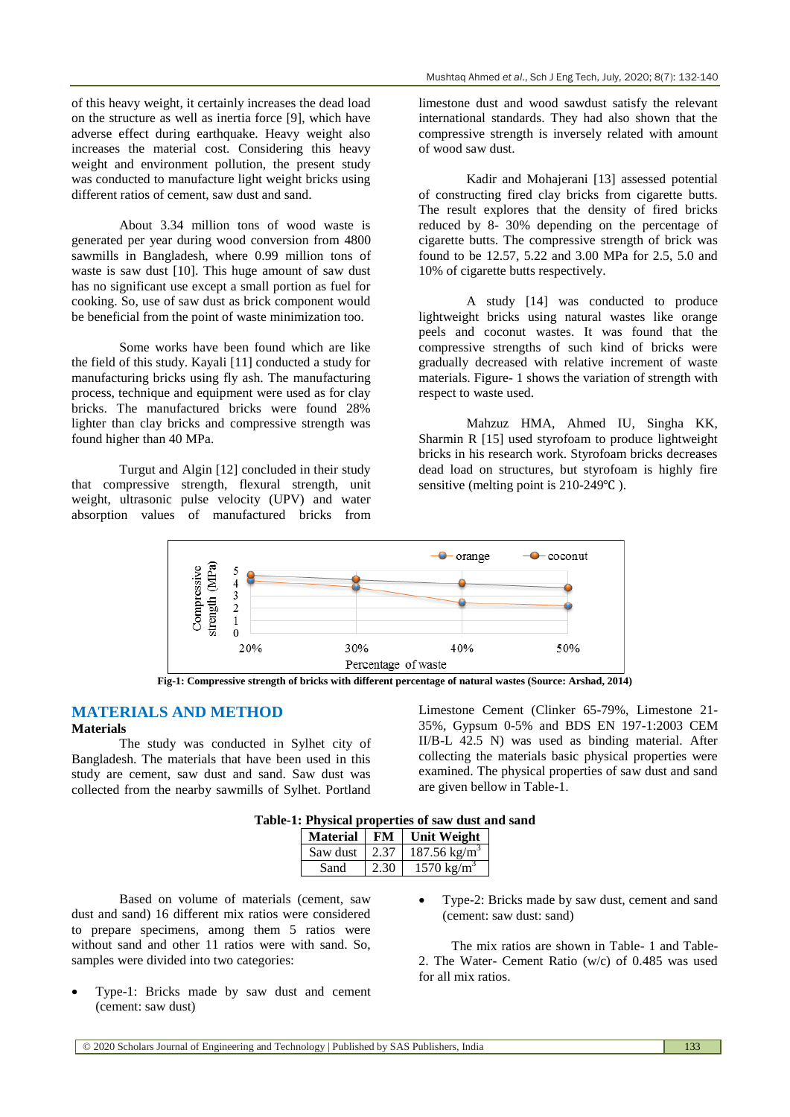of this heavy weight, it certainly increases the dead load on the structure as well as inertia force [9], which have adverse effect during earthquake. Heavy weight also increases the material cost. Considering this heavy weight and environment pollution, the present study was conducted to manufacture light weight bricks using different ratios of cement, saw dust and sand.

About 3.34 million tons of wood waste is generated per year during wood conversion from 4800 sawmills in Bangladesh, where 0.99 million tons of waste is saw dust [10]. This huge amount of saw dust has no significant use except a small portion as fuel for cooking. So, use of saw dust as brick component would be beneficial from the point of waste minimization too.

Some works have been found which are like the field of this study. Kayali [11] conducted a study for manufacturing bricks using fly ash. The manufacturing process, technique and equipment were used as for clay bricks. The manufactured bricks were found 28% lighter than clay bricks and compressive strength was found higher than 40 MPa.

Turgut and Algin [12] concluded in their study that compressive strength, flexural strength, unit weight, ultrasonic pulse velocity (UPV) and water absorption values of manufactured bricks from

limestone dust and wood sawdust satisfy the relevant international standards. They had also shown that the compressive strength is inversely related with amount of wood saw dust.

Kadir and Mohajerani [13] assessed potential of constructing fired clay bricks from cigarette butts. The result explores that the density of fired bricks reduced by 8- 30% depending on the percentage of cigarette butts. The compressive strength of brick was found to be 12.57, 5.22 and 3.00 MPa for 2.5, 5.0 and 10% of cigarette butts respectively.

A study [14] was conducted to produce lightweight bricks using natural wastes like orange peels and coconut wastes. It was found that the compressive strengths of such kind of bricks were gradually decreased with relative increment of waste materials. Figure- 1 shows the variation of strength with respect to waste used.

Mahzuz HMA, Ahmed IU, Singha KK, Sharmin R [15] used styrofoam to produce lightweight bricks in his research work. Styrofoam bricks decreases dead load on structures, but styrofoam is highly fire sensitive (melting point is  $210-249^{\circ}$ C).



**Fig-1: Compressive strength of bricks with different percentage of natural wastes (Source: Arshad, 2014)**

# **MATERIALS AND METHOD**

#### **Materials**

The study was conducted in Sylhet city of Bangladesh. The materials that have been used in this study are cement, saw dust and sand. Saw dust was collected from the nearby sawmills of Sylhet. Portland Limestone Cement (Clinker 65-79%, Limestone 21- 35%, Gypsum 0-5% and BDS EN 197-1:2003 CEM II/B-L 42.5 N) was used as binding material. After collecting the materials basic physical properties were examined. The physical properties of saw dust and sand are given bellow in Table-1.

| Table-1: Physical properties of saw dust and sand |  |  |
|---------------------------------------------------|--|--|
|---------------------------------------------------|--|--|

| <b>Material</b> | FM   | <b>Unit Weight</b>      |
|-----------------|------|-------------------------|
| Saw dust        | 2.37 | $187.56 \text{ kg/m}^3$ |
| Sand            | 2.30 | $1570 \text{ kg/m}^3$   |

Based on volume of materials (cement, saw dust and sand) 16 different mix ratios were considered to prepare specimens, among them 5 ratios were without sand and other 11 ratios were with sand. So, samples were divided into two categories:

- Type-1: Bricks made by saw dust and cement (cement: saw dust)
- Type-2: Bricks made by saw dust, cement and sand (cement: saw dust: sand)

The mix ratios are shown in Table- 1 and Table-2. The Water- Cement Ratio (w/c) of 0.485 was used for all mix ratios.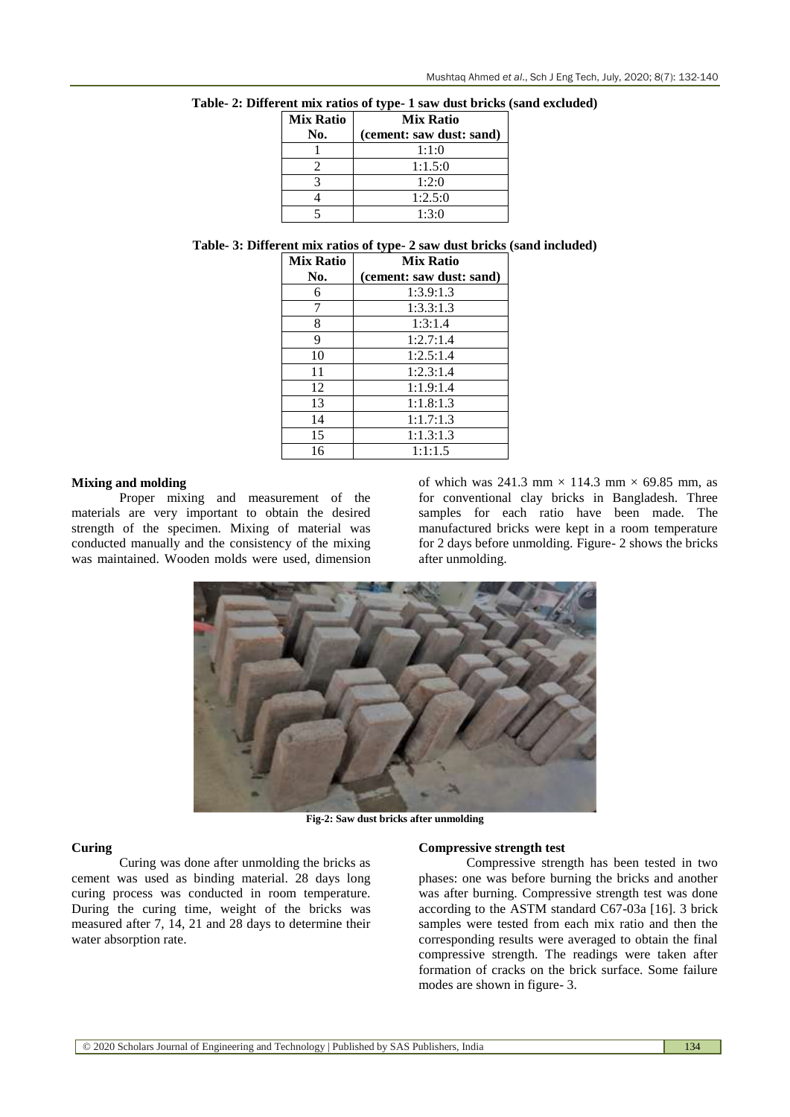| <b>Mix Ratio</b> | <b>Mix Ratio</b>         |  |
|------------------|--------------------------|--|
| No.              | (cement: saw dust: sand) |  |
|                  | 1:1:0                    |  |
|                  | 1:1.5:0                  |  |
|                  | 1:2:0                    |  |
|                  | 1:2.5:0                  |  |
|                  | 1:3:0                    |  |

## **Table- 2: Different mix ratios of type- 1 saw dust bricks (sand excluded)**

# **Table- 3: Different mix ratios of type- 2 saw dust bricks (sand included)**

| <b>Mix Ratio</b> | <b>Mix Ratio</b>         |  |
|------------------|--------------------------|--|
| No.              | (cement: saw dust: sand) |  |
| 6                | 1:3.9:1.3                |  |
| 7                | 1:3.3:1.3                |  |
| 8                | 1:3:1.4                  |  |
| 9                | 1:2.7:1.4                |  |
| 10               | 1:2.5:1.4                |  |
| 11               | 1:2.3:1.4                |  |
| 12               | 1:1.9:1.4                |  |
| 13               | 1:1.8:1.3                |  |
| 14               | 1:1.7:1.3                |  |
| 15               | 1:1.3:1.3                |  |
| 16               | 1:1:1.5                  |  |

#### **Mixing and molding**

Proper mixing and measurement of the materials are very important to obtain the desired strength of the specimen. Mixing of material was conducted manually and the consistency of the mixing was maintained. Wooden molds were used, dimension

of which was 241.3 mm  $\times$  114.3 mm  $\times$  69.85 mm, as for conventional clay bricks in Bangladesh. Three samples for each ratio have been made. The manufactured bricks were kept in a room temperature for 2 days before unmolding. Figure- 2 shows the bricks after unmolding.



**Fig-2: Saw dust bricks after unmolding**

#### **Curing**

Curing was done after unmolding the bricks as cement was used as binding material. 28 days long curing process was conducted in room temperature. During the curing time, weight of the bricks was measured after 7, 14, 21 and 28 days to determine their water absorption rate.

#### **Compressive strength test**

Compressive strength has been tested in two phases: one was before burning the bricks and another was after burning. Compressive strength test was done according to the ASTM standard C67-03a [16]. 3 brick samples were tested from each mix ratio and then the corresponding results were averaged to obtain the final compressive strength. The readings were taken after formation of cracks on the brick surface. Some failure modes are shown in figure- 3.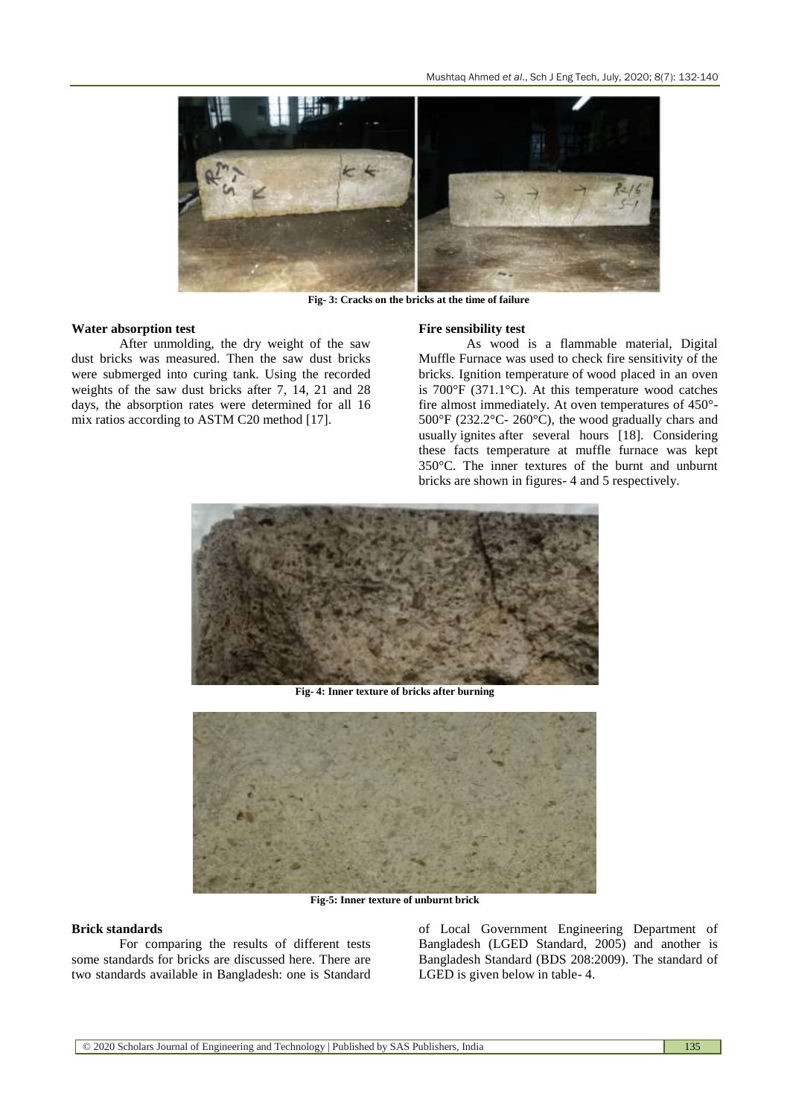

**Fig- 3: Cracks on the bricks at the time of failure**

### **Water absorption test**

After unmolding, the dry weight of the saw dust bricks was measured. Then the saw dust bricks were submerged into curing tank. Using the recorded weights of the saw dust bricks after 7, 14, 21 and 28 days, the absorption rates were determined for all 16 mix ratios according to ASTM C20 method [17].

#### **Fire sensibility test**

As wood is a flammable material, Digital Muffle Furnace was used to check fire sensitivity of the bricks. Ignition temperature of wood placed in an oven is 700°F (371.1°C). At this temperature wood catches fire almost immediately. At oven temperatures of 450°- 500°F (232.2°C- 260°C), the wood gradually chars and usually ignites after several hours [18]. Considering these facts temperature at muffle furnace was kept 350°C. The inner textures of the burnt and unburnt bricks are shown in figures- 4 and 5 respectively.



**Fig- 4: Inner texture of bricks after burning**



**Fig-5: Inner texture of unburnt brick**

# **Brick standards**

For comparing the results of different tests some standards for bricks are discussed here. There are two standards available in Bangladesh: one is Standard

of Local Government Engineering Department of Bangladesh (LGED Standard, 2005) and another is Bangladesh Standard (BDS 208:2009). The standard of LGED is given below in table- 4.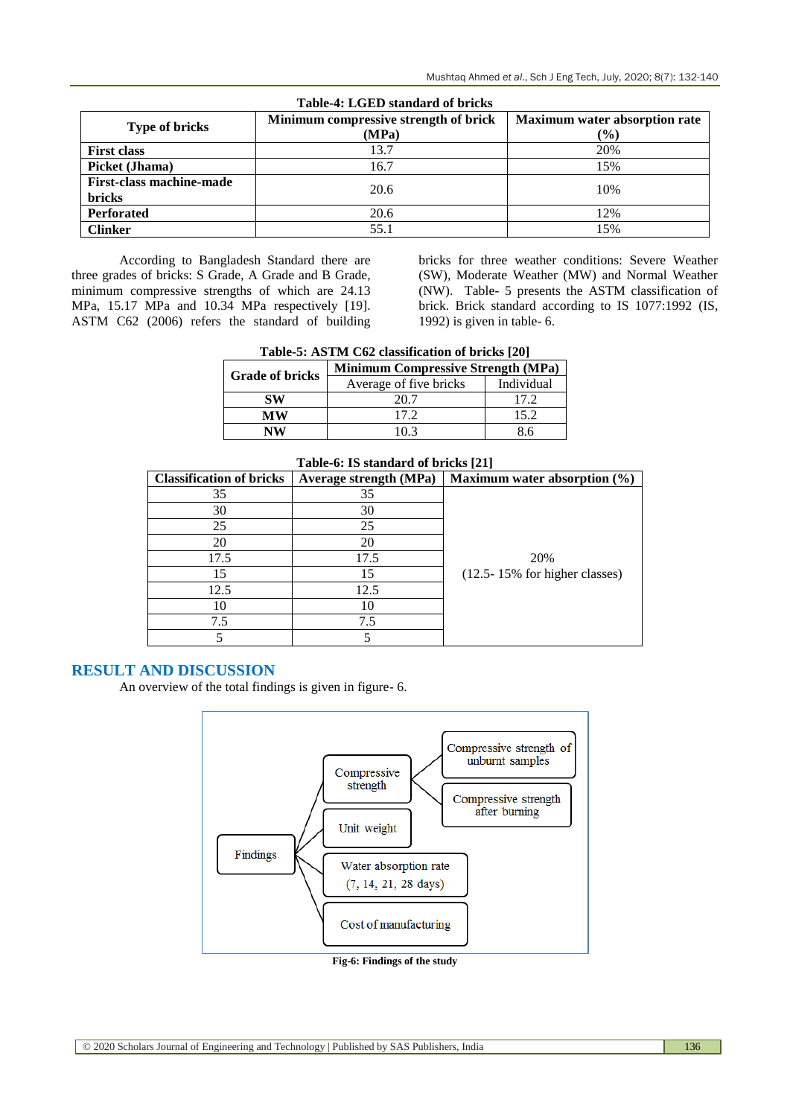| Table-4: LGED standard of bricks |                                       |                                      |  |  |
|----------------------------------|---------------------------------------|--------------------------------------|--|--|
| <b>Type of bricks</b>            | Minimum compressive strength of brick | <b>Maximum water absorption rate</b> |  |  |
|                                  | (MPa)                                 | $($ %)                               |  |  |
| <b>First class</b>               | 13.7                                  | 20%                                  |  |  |
| Picket (Jhama)                   | 16.7                                  | 15%                                  |  |  |
| <b>First-class machine-made</b>  | 20.6                                  | 10%                                  |  |  |
| <b>bricks</b>                    |                                       |                                      |  |  |
| <b>Perforated</b>                | 20.6                                  | 12%                                  |  |  |
| <b>Clinker</b>                   | 55.1                                  | 15%                                  |  |  |

According to Bangladesh Standard there are three grades of bricks: S Grade, A Grade and B Grade, minimum compressive strengths of which are 24.13 MPa, 15.17 MPa and 10.34 MPa respectively [19]. ASTM C62 (2006) refers the standard of building bricks for three weather conditions: Severe Weather (SW), Moderate Weather (MW) and Normal Weather (NW). Table- 5 presents the ASTM classification of brick. Brick standard according to IS 1077:1992 (IS, 1992) is given in table- 6.

| <b>Grade of bricks</b> | <b>Minimum Compressive Strength (MPa)</b> |            |  |
|------------------------|-------------------------------------------|------------|--|
|                        | Average of five bricks                    | Individual |  |
| SW                     | 20.7                                      | 17.2       |  |
| МW                     | 17.2                                      | 15.2       |  |
| NW                     | 'በ 3                                      | 86         |  |

| Table-0; 15 standard of Dricks [21] |                               |                                    |  |
|-------------------------------------|-------------------------------|------------------------------------|--|
| <b>Classification of bricks</b>     | <b>Average strength (MPa)</b> | Maximum water absorption $(\% )$   |  |
| 35                                  | 35                            |                                    |  |
| 30                                  | 30                            |                                    |  |
| 25                                  | 25                            |                                    |  |
| 20                                  | 20                            |                                    |  |
| 17.5                                | 17.5                          | 20%                                |  |
| 15                                  | 15                            | $(12.5 - 15\%$ for higher classes) |  |
| 12.5                                | 12.5                          |                                    |  |
| 10                                  | 10                            |                                    |  |
| 7.5                                 | 7.5                           |                                    |  |
|                                     |                               |                                    |  |

# **Table-6: IS standard of bricks [21]**

# **RESULT AND DISCUSSION**

An overview of the total findings is given in figure- 6.



**Fig-6: Findings of the study**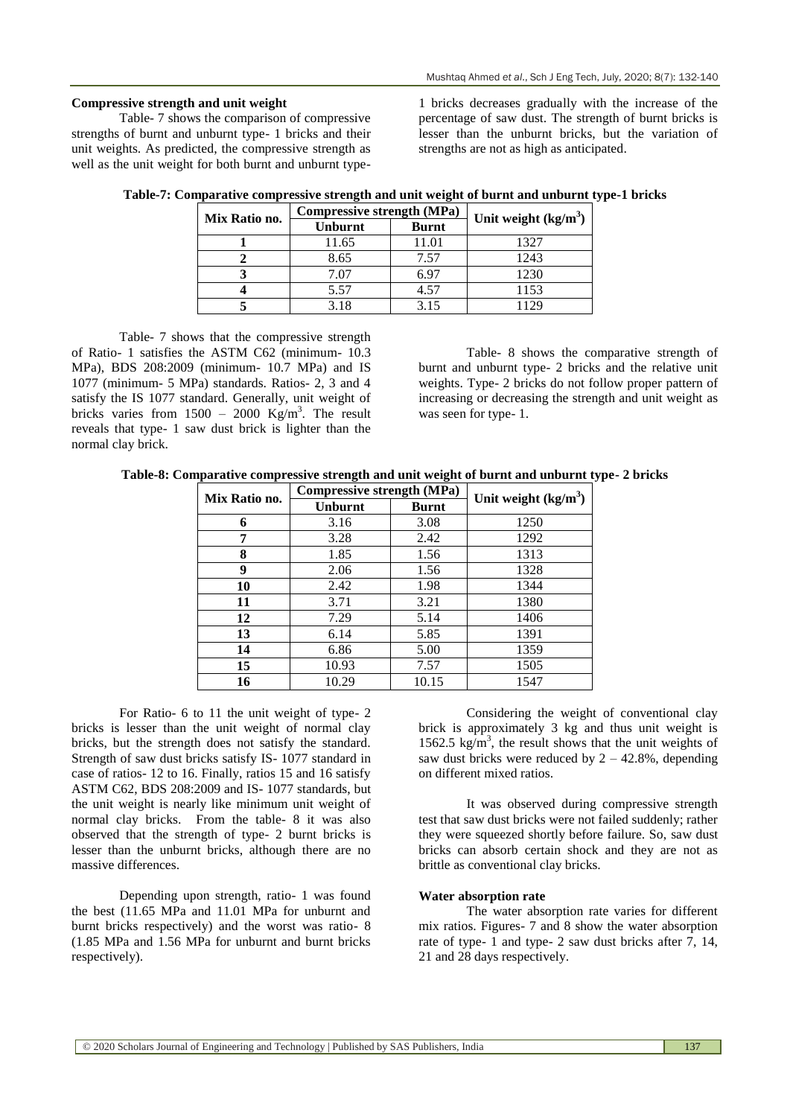## **Compressive strength and unit weight**

Table- 7 shows the comparison of compressive strengths of burnt and unburnt type- 1 bricks and their unit weights. As predicted, the compressive strength as well as the unit weight for both burnt and unburnt type1 bricks decreases gradually with the increase of the percentage of saw dust. The strength of burnt bricks is lesser than the unburnt bricks, but the variation of strengths are not as high as anticipated.

| Mix Ratio no. | Compressive strength (MPa) |              | Unit weight $(kg/m^3)$ |  |
|---------------|----------------------------|--------------|------------------------|--|
|               | <b>Unburnt</b>             | <b>Burnt</b> |                        |  |
|               | 11.65                      | 11.01        | 1327                   |  |
|               | 8.65                       | 7.57         | 1243                   |  |
|               | 7.07                       | 6.97         | 1230                   |  |
|               | 5.57                       | 4.57         | 1153                   |  |
|               | 3.18                       | 3.15         | 129                    |  |

**Table-7: Comparative compressive strength and unit weight of burnt and unburnt type-1 bricks**

Table- 7 shows that the compressive strength of Ratio- 1 satisfies the ASTM C62 (minimum- 10.3 MPa), BDS 208:2009 (minimum- 10.7 MPa) and IS 1077 (minimum- 5 MPa) standards. Ratios- 2, 3 and 4 satisfy the IS 1077 standard. Generally, unit weight of bricks varies from  $1500 - 2000$  Kg/m<sup>3</sup>. The result reveals that type- 1 saw dust brick is lighter than the normal clay brick.

Table- 8 shows the comparative strength of burnt and unburnt type- 2 bricks and the relative unit weights. Type- 2 bricks do not follow proper pattern of increasing or decreasing the strength and unit weight as was seen for type- 1.

**Table-8: Comparative compressive strength and unit weight of burnt and unburnt type- 2 bricks**

|               | Compressive strength (MPa) |              | Unit weight $(kg/m3)$ |  |
|---------------|----------------------------|--------------|-----------------------|--|
| Mix Ratio no. | <b>Unburnt</b>             | <b>Burnt</b> |                       |  |
| 6             | 3.16                       | 3.08         | 1250                  |  |
|               | 3.28                       | 2.42         | 1292                  |  |
| 8             | 1.85                       | 1.56         | 1313                  |  |
| 9             | 2.06                       | 1.56         | 1328                  |  |
| 10            | 2.42                       | 1.98         | 1344                  |  |
| 11            | 3.71                       | 3.21         | 1380                  |  |
| 12            | 7.29                       | 5.14         | 1406                  |  |
| 13            | 6.14                       | 5.85         | 1391                  |  |
| 14            | 6.86                       | 5.00         | 1359                  |  |
| 15            | 10.93                      | 7.57         | 1505                  |  |
| 16            | 10.29                      | 10.15        | 1547                  |  |

For Ratio- 6 to 11 the unit weight of type- 2 bricks is lesser than the unit weight of normal clay bricks, but the strength does not satisfy the standard. Strength of saw dust bricks satisfy IS- 1077 standard in case of ratios- 12 to 16. Finally, ratios 15 and 16 satisfy ASTM C62, BDS 208:2009 and IS- 1077 standards, but the unit weight is nearly like minimum unit weight of normal clay bricks. From the table- 8 it was also observed that the strength of type- 2 burnt bricks is lesser than the unburnt bricks, although there are no massive differences.

Depending upon strength, ratio- 1 was found the best (11.65 MPa and 11.01 MPa for unburnt and burnt bricks respectively) and the worst was ratio- 8 (1.85 MPa and 1.56 MPa for unburnt and burnt bricks respectively).

Considering the weight of conventional clay brick is approximately 3 kg and thus unit weight is 1562.5  $kg/m<sup>3</sup>$ , the result shows that the unit weights of saw dust bricks were reduced by  $2 - 42.8\%$ , depending on different mixed ratios.

It was observed during compressive strength test that saw dust bricks were not failed suddenly; rather they were squeezed shortly before failure. So, saw dust bricks can absorb certain shock and they are not as brittle as conventional clay bricks.

### **Water absorption rate**

The water absorption rate varies for different mix ratios. Figures- 7 and 8 show the water absorption rate of type- 1 and type- 2 saw dust bricks after 7, 14, 21 and 28 days respectively.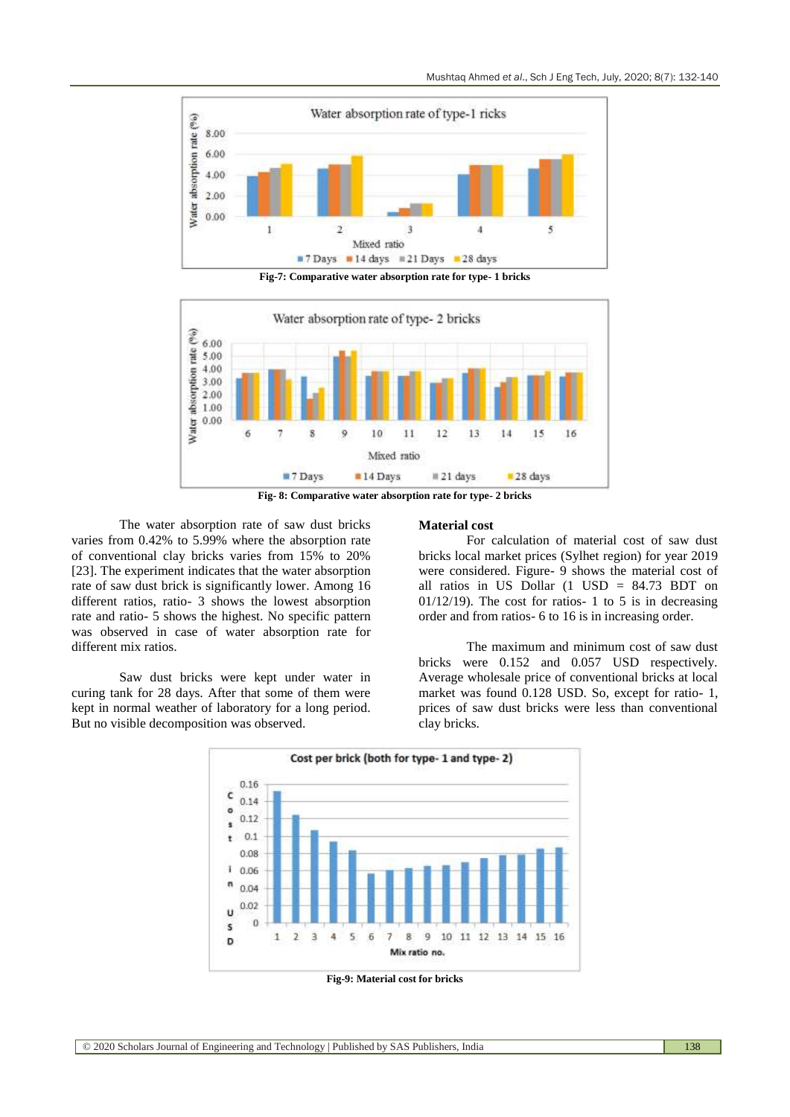

**Fig-7: Comparative water absorption rate for type- 1 bricks**



**Fig- 8: Comparative water absorption rate for type- 2 bricks**

The water absorption rate of saw dust bricks varies from 0.42% to 5.99% where the absorption rate of conventional clay bricks varies from 15% to 20% [23]. The experiment indicates that the water absorption rate of saw dust brick is significantly lower. Among 16 different ratios, ratio- 3 shows the lowest absorption rate and ratio- 5 shows the highest. No specific pattern was observed in case of water absorption rate for different mix ratios.

Saw dust bricks were kept under water in curing tank for 28 days. After that some of them were kept in normal weather of laboratory for a long period. But no visible decomposition was observed.

#### **Material cost**

For calculation of material cost of saw dust bricks local market prices (Sylhet region) for year 2019 were considered. Figure- 9 shows the material cost of all ratios in US Dollar (1 USD = 84.73 BDT on  $01/12/19$ ). The cost for ratios- 1 to 5 is in decreasing order and from ratios- 6 to 16 is in increasing order.

The maximum and minimum cost of saw dust bricks were 0.152 and 0.057 USD respectively. Average wholesale price of conventional bricks at local market was found 0.128 USD. So, except for ratio- 1, prices of saw dust bricks were less than conventional clay bricks.



**Fig-9: Material cost for bricks**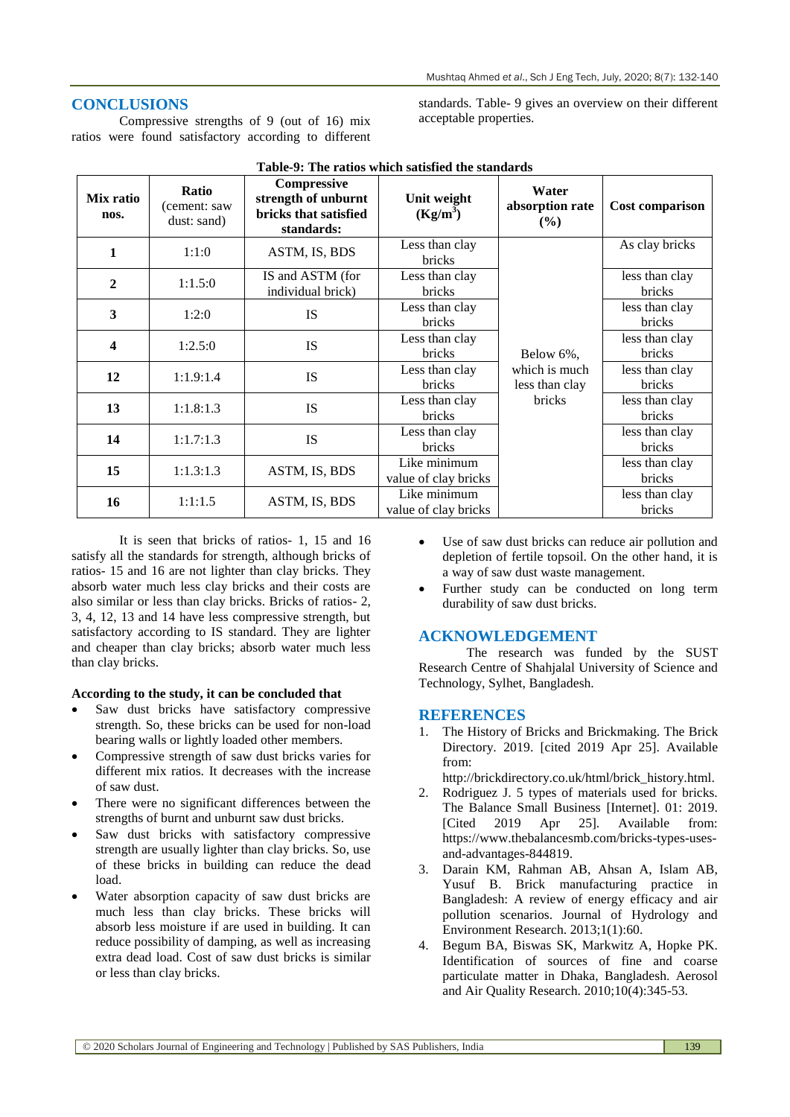standards. Table- 9 gives an overview on their different

# **CONCLUSIONS**

Compressive strengths of 9 (out of 16) mix ratios were found satisfactory according to different

| Mix ratio<br>nos.       | Ratio<br>(cement: saw<br>dust: sand) | Table-9: The ratios which satisfied the standards<br><b>Compressive</b><br>strength of unburnt<br>bricks that satisfied | Unit weight<br>$(Kg/m^3)$            | Water<br>absorption rate<br>(%) | <b>Cost comparison</b>          |
|-------------------------|--------------------------------------|-------------------------------------------------------------------------------------------------------------------------|--------------------------------------|---------------------------------|---------------------------------|
|                         |                                      | standards:                                                                                                              | Less than clay                       |                                 | As clay bricks                  |
| 1                       | 1:1:0                                | ASTM, IS, BDS                                                                                                           | <b>bricks</b>                        |                                 |                                 |
| $\mathbf{2}$            | 1:1.5:0                              | IS and ASTM (for<br>individual brick)                                                                                   | Less than clay<br>bricks             |                                 | less than clay<br>bricks        |
| 3                       | 1:2:0                                | <b>IS</b>                                                                                                               | Less than clay<br><b>bricks</b>      |                                 | less than clay<br><b>bricks</b> |
| $\overline{\mathbf{4}}$ | 1:2.5:0                              | IS                                                                                                                      | Less than clay<br>bricks             | Below 6%,                       | less than clay<br>bricks        |
| 12                      | 1:1.9:1.4                            | <b>IS</b>                                                                                                               | Less than clay<br><b>bricks</b>      | which is much<br>less than clay | less than clay<br>bricks        |
| 13                      | 1:1.8:1.3                            | <b>IS</b>                                                                                                               | Less than clay<br><b>bricks</b>      | bricks                          | less than clay<br><b>bricks</b> |
| 14                      | 1:1.7:1.3                            | IS                                                                                                                      | Less than clay<br>bricks             |                                 | less than clay<br>bricks        |
| 15                      | 1:1.3:1.3                            | ASTM, IS, BDS                                                                                                           | Like minimum<br>value of clay bricks |                                 | less than clay<br>bricks        |
| 16                      | 1:1:1.5                              | ASTM, IS, BDS                                                                                                           | Like minimum<br>value of clay bricks |                                 | less than clay<br>bricks        |

**Table-9: The ratios which satisfied the standards**

acceptable properties.

It is seen that bricks of ratios- 1, 15 and 16 satisfy all the standards for strength, although bricks of ratios- 15 and 16 are not lighter than clay bricks. They absorb water much less clay bricks and their costs are also similar or less than clay bricks. Bricks of ratios- 2, 3, 4, 12, 13 and 14 have less compressive strength, but satisfactory according to IS standard. They are lighter and cheaper than clay bricks; absorb water much less than clay bricks.

# **According to the study, it can be concluded that**

- Saw dust bricks have satisfactory compressive strength. So, these bricks can be used for non-load bearing walls or lightly loaded other members.
- Compressive strength of saw dust bricks varies for different mix ratios. It decreases with the increase of saw dust.
- There were no significant differences between the strengths of burnt and unburnt saw dust bricks.
- Saw dust bricks with satisfactory compressive strength are usually lighter than clay bricks. So, use of these bricks in building can reduce the dead load.
- Water absorption capacity of saw dust bricks are much less than clay bricks. These bricks will absorb less moisture if are used in building. It can reduce possibility of damping, as well as increasing extra dead load. Cost of saw dust bricks is similar or less than clay bricks.
- Use of saw dust bricks can reduce air pollution and depletion of fertile topsoil. On the other hand, it is a way of saw dust waste management.
- Further study can be conducted on long term durability of saw dust bricks.

# **ACKNOWLEDGEMENT**

The research was funded by the SUST Research Centre of Shahjalal University of Science and Technology, Sylhet, Bangladesh.

### **REFERENCES**

1. The History of Bricks and Brickmaking. The Brick Directory. 2019. [cited 2019 Apr 25]. Available from:

http://brickdirectory.co.uk/html/brick\_history.html.

- 2. Rodriguez J. 5 types of materials used for bricks. The Balance Small Business [Internet]. 01: 2019. [Cited 2019 Apr 25]. Available from: https://www.thebalancesmb.com/bricks-types-usesand-advantages-844819.
- 3. Darain KM, Rahman AB, Ahsan A, Islam AB, Yusuf B. Brick manufacturing practice in Bangladesh: A review of energy efficacy and air pollution scenarios. Journal of Hydrology and Environment Research. 2013;1(1):60.
- 4. Begum BA, Biswas SK, Markwitz A, Hopke PK. Identification of sources of fine and coarse particulate matter in Dhaka, Bangladesh. Aerosol and Air Quality Research. 2010;10(4):345-53.